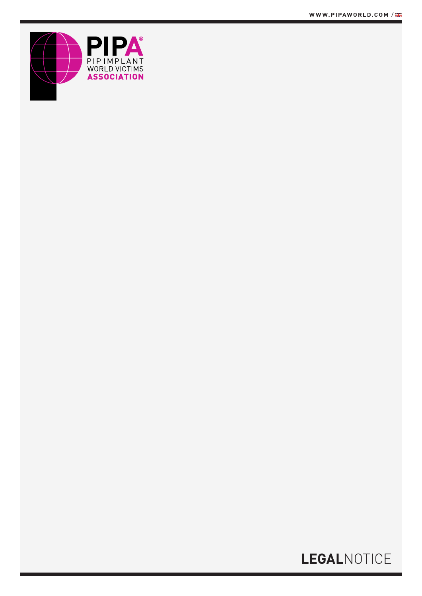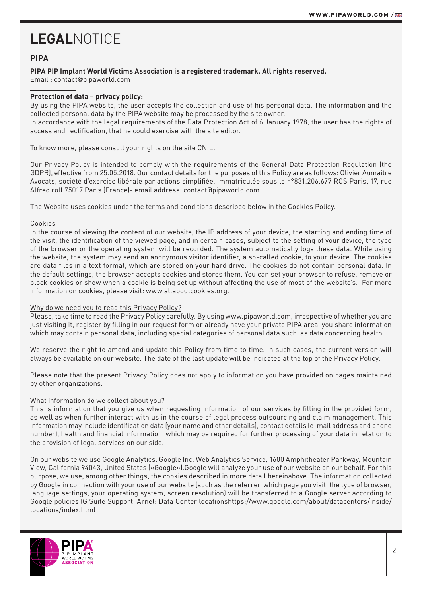## **PIPA**

### **PIPA PIP Implant World Victims Association is a registered trademark. All rights reserved.**

Email : contact*@*pipaworld.com

### **Protection of data – privacy policy:**

By using the PIPA website, the user accepts the collection and use of his personal data. The information and the collected personal data by the PIPA website may be processed by the site owner.

In accordance with the legal requirements of the Data Protection Act of 6 January 1978, the user has the rights of access and rectification, that he could exercise with the site editor.

To know more, please consult your rights on the site CNIL.

Our Privacy Policy is intended to comply with the requirements of the General Data Protection Regulation (the GDPR), effective from 25.05.2018. Our contact details for the purposes of this Policy are as follows: Olivier Aumaitre Avocats, société d'exercice libérale par actions simplifiée, immatriculée sous le n°831.206.677 RCS Paris, 17, rue Alfred roll 75017 Paris (France)- email address: contact@pipaworld.com

The Website uses cookies under the terms and conditions described below in the Cookies Policy.

### Cookies

In the course of viewing the content of our website, the IP address of your device, the starting and ending time of the visit, the identification of the viewed page, and in certain cases, subject to the setting of your device, the type of the browser or the operating system will be recorded. The system automatically logs these data. While using the website, the system may send an anonymous visitor identifier, a so-called cookie, to your device. The cookies are data files in a text format, which are stored on your hard drive. The cookies do not contain personal data. In the default settings, the browser accepts cookies and stores them. You can set your browser to refuse, remove or block cookies or show when a cookie is being set up without affecting the use of most of the website's. For more information on cookies, please visit: www.allaboutcookies.org.

### Why do we need you to read this Privacy Policy?

Please, take time to read the Privacy Policy carefully. By using www.pipaworld.com, irrespective of whether you are just visiting it, register by filling in our request form or already have your private PIPA area, you share information which may contain personal data, including special categories of personal data such as data concerning health.

We reserve the right to amend and update this Policy from time to time. In such cases, the current version will always be available on our website. The date of the last update will be indicated at the top of the Privacy Policy.

Please note that the present Privacy Policy does not apply to information you have provided on pages maintained by other organizations.

### What information do we collect about you?

This is information that you give us when requesting information of our services by filling in the provided form, as well as when further interact with us in the course of legal process outsourcing and claim management. This information may include identification data (your name and other details), contact details (e-mail address and phone number), health and financial information, which may be required for further processing of your data in relation to the provision of legal services on our side.

On our website we use Google Analytics, Google Inc. Web Analytics Service, 1600 Amphitheater Parkway, Mountain View, California 94043, United States («Google»).Google will analyze your use of our website on our behalf. For this purpose, we use, among other things, the cookies described in more detail hereinabove. The information collected by Google in connection with your use of our website (such as the referrer, which page you visit, the type of browser, language settings, your operating system, screen resolution) will be transferred to a Google server according to Google policies (G Suite Support, Arnel: Data Center locationshttps://www.google.com/about/datacenters/inside/ locations/index.html

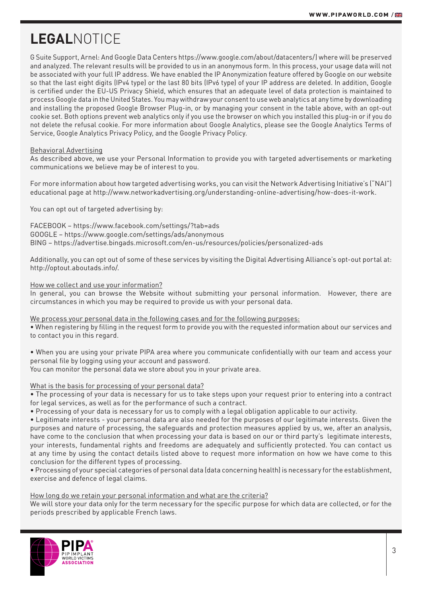G Suite Support, Arnel: And Google Data Centers https://www.google.com/about/datacenters/) where will be preserved and analyzed. The relevant results will be provided to us in an anonymous form. In this process, your usage data will not be associated with your full IP address. We have enabled the IP Anonymization feature offered by Google on our website so that the last eight digits (IPv4 type) or the last 80 bits (IPv6 type) of your IP address are deleted. In addition, Google is certified under the EU-US Privacy Shield, which ensures that an adequate level of data protection is maintained to process Google data in the United States. You may withdraw your consent to use web analytics at any time by downloading and installing the proposed Google Browser Plug-in, or by managing your consent in the table above, with an opt-out cookie set. Both options prevent web analytics only if you use the browser on which you installed this plug-in or if you do not delete the refusal cookie. For more information about Google Analytics, please see the Google Analytics Terms of Service, Google Analytics Privacy Policy, and the Google Privacy Policy.

### Behavioral Advertising

As described above, we use your Personal Information to provide you with targeted advertisements or marketing communications we believe may be of interest to you.

For more information about how targeted advertising works, you can visit the Network Advertising Initiative's ("NAI") educational page at http://www.networkadvertising.org/understanding-online-advertising/how-does-it-work.

You can opt out of targeted advertising by:

FACEBOOK – https://www.facebook.com/settings/?tab=ads GOOGLE – https://www.google.com/settings/ads/anonymous BING – https://advertise.bingads.microsoft.com/en-us/resources/policies/personalized-ads

Additionally, you can opt out of some of these services by visiting the Digital Advertising Alliance's opt-out portal at: http://optout.aboutads.info/.

How we collect and use your information?

In general, you can browse the Website without submitting your personal information. However, there are circumstances in which you may be required to provide us with your personal data.

We process your personal data in the following cases and for the following purposes:

• When registering by filling in the request form to provide you with the requested information about our services and to contact you in this regard.

• When you are using your private PIPA area where you communicate confidentially with our team and access your personal file by logging using your account and password.

You can monitor the personal data we store about you in your private area.

#### What is the basis for processing of your personal data?

• The processing of your data is necessary for us to take steps upon your request prior to entering into a contract for legal services, as well as for the performance of such a contract.

• Processing of your data is necessary for us to comply with a legal obligation applicable to our activity.

• Legitimate interests - your personal data are also needed for the purposes of our legitimate interests. Given the purposes and nature of processing, the safeguards and protection measures applied by us, we, after an analysis, have come to the conclusion that when processing your data is based on our or third party's legitimate interests, your interests, fundamental rights and freedoms are adequately and sufficiently protected. You can contact us at any time by using the contact details listed above to request more information on how we have come to this conclusion for the different types of processing.

• Processing of your special categories of personal data (data concerning health) is necessary for the establishment, exercise and defence of legal claims.

### How long do we retain your personal information and what are the criteria?

We will store your data only for the term necessary for the specific purpose for which data are collected, or for the periods prescribed by applicable French laws.

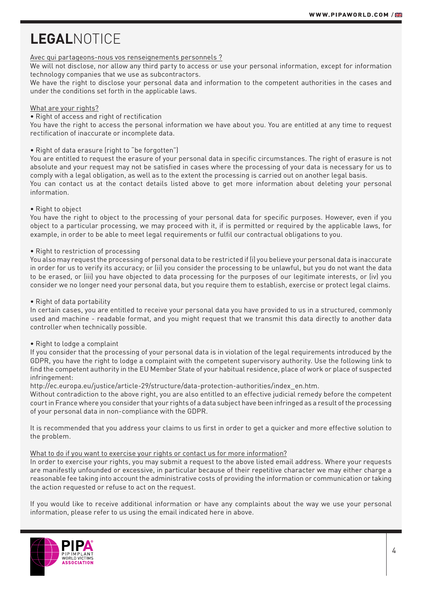### Avec qui partageons-nous vos renseignements personnels ?

We will not disclose, nor allow any third party to access or use your personal information, except for information technology companies that we use as subcontractors.

We have the right to disclose your personal data and information to the competent authorities in the cases and under the conditions set forth in the applicable laws.

### What are your rights?

• Right of access and right of rectification

You have the right to access the personal information we have about you. You are entitled at any time to request rectification of inaccurate or incomplete data.

### • Right of data erasure (right to "be forgotten")

You are entitled to request the erasure of your personal data in specific circumstances. The right of erasure is not absolute and your request may not be satisfied in cases where the processing of your data is necessary for us to comply with a legal obligation, as well as to the extent the processing is carried out on another legal basis. You can contact us at the contact details listed above to get more information about deleting your personal information.

#### • Right to object

You have the right to object to the processing of your personal data for specific purposes. However, even if you object to a particular processing, we may proceed with it, if is permitted or required by the applicable laws, for example, in order to be able to meet legal requirements or fulfil our contractual obligations to you.

### • Right to restriction of processing

You also may request the processing of personal data to be restricted if (i) you believe your personal data is inaccurate in order for us to verify its accuracy; or (ii) you consider the processing to be unlawful, but you do not want the data to be erased, or (iii) you have objected to data processing for the purposes of our legitimate interests, or (iv) you consider we no longer need your personal data, but you require them to establish, exercise or protect legal claims.

### • Right of data portability

In certain cases, you are entitled to receive your personal data you have provided to us in a structured, commonly used and machine - readable format, and you might request that we transmit this data directly to another data controller when technically possible.

### • Right to lodge a complaint

If you consider that the processing of your personal data is in violation of the legal requirements introduced by the GDPR, you have the right to lodge a complaint with the competent supervisory authority. Use the following link to find the competent authority in the EU Member State of your habitual residence, place of work or place of suspected infringement:

http://ec.europa.eu/justice/article-29/structure/data-protection-authorities/index\_en.htm.

Without contradiction to the above right, you are also entitled to an effective judicial remedy before the competent court in France where you consider that your rights of a data subject have been infringed as a result of the processing of your personal data in non-compliance with the GDPR.

It is recommended that you address your claims to us first in order to get a quicker and more effective solution to the problem.

### What to do if you want to exercise your rights or contact us for more information?

In order to exercise your rights, you may submit a request to the above listed email address. Where your requests are manifestly unfounded or excessive, in particular because of their repetitive character we may either charge a reasonable fee taking into account the administrative costs of providing the information or communication or taking the action requested or refuse to act on the request.

If you would like to receive additional information or have any complaints about the way we use your personal information, please refer to us using the email indicated here in above.

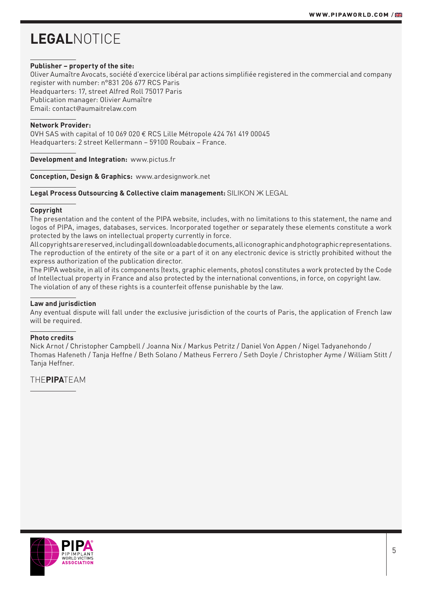#### **Publisher – property of the site:**

Oliver Aumaître Avocats, société d'exercice libéral par actions simplifiée registered in the commercial and company register with number: n°831 206 677 RCS Paris Headquarters: 17, street Alfred Roll 75017 Paris Publication manager: Olivier Aumaître Email: contact*@*aumaitrelaw.com

#### **Network Provider:**

OVH SAS with capital of 10 069 020 € RCS Lille Métropole 424 761 419 00045 Headquarters: 2 street Kellermann – 59100 Roubaix – France.

**Development and Integration:** www.pictus.fr

**Conception, Design & Graphics:** www.ardesignwork.net

#### **Legal Process Outsourcing & Collective claim management:** SILIKON Ж LEGAL

#### **Copyright**

The presentation and the content of the PIPA website, includes, with no limitations to this statement, the name and logos of PIPA, images, databases, services. Incorporated together or separately these elements constitute a work protected by the laws on intellectual property currently in force.

All copyrights are reserved, including all downloadable documents, all iconographic and photographic representations. The reproduction of the entirety of the site or a part of it on any electronic device is strictly prohibited without the express authorization of the publication director.

The PIPA website, in all of its components (texts, graphic elements, photos) constitutes a work protected by the Code of Intellectual property in France and also protected by the international conventions, in force, on copyright law. The violation of any of these rights is a counterfeit offense punishable by the law.

### **Law and jurisdiction**

Any eventual dispute will fall under the exclusive jurisdiction of the courts of Paris, the application of French law will be required.

### **Photo credits**

Nick Arnot / Christopher Campbell / Joanna Nix / Markus Petritz / Daniel Von Appen / Nigel Tadyanehondo / Thomas Hafeneth / Tanja Heffne / Beth Solano / Matheus Ferrero / Seth Doyle / Christopher Ayme / William Stitt / Tanja Heffner.

THE**PIPA**TEAM